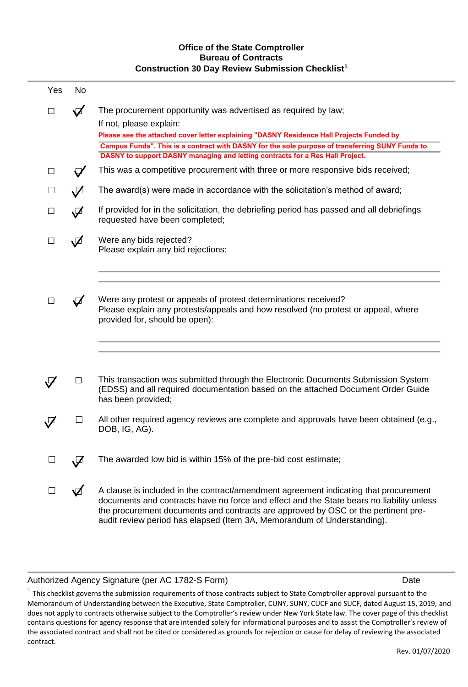## **Office of the State Comptroller Bureau of Contracts Construction 30 Day Review Submission Checklist<sup>1</sup>**

| Yes    | <b>No</b>                        |                                                                                                                                                                                                                                                                                                                                                                           |
|--------|----------------------------------|---------------------------------------------------------------------------------------------------------------------------------------------------------------------------------------------------------------------------------------------------------------------------------------------------------------------------------------------------------------------------|
| □      | $\blacktriangledown$             | The procurement opportunity was advertised as required by law;<br>If not, please explain:<br>Please see the attached cover letter explaining "DASNY Residence Hall Projects Funded by<br>Campus Funds". This is a contract with DASNY for the sole purpose of transferring SUNY Funds to<br>DASNY to support DASNY managing and letting contracts for a Res Hall Project. |
| □      |                                  | This was a competitive procurement with three or more responsive bids received;                                                                                                                                                                                                                                                                                           |
| $\Box$ | $\sqrt{2}$                       | The award(s) were made in accordance with the solicitation's method of award;                                                                                                                                                                                                                                                                                             |
| □      | $\cancel{\nabla}$                | If provided for in the solicitation, the debriefing period has passed and all debriefings<br>requested have been completed;                                                                                                                                                                                                                                               |
| □      | √                                | Were any bids rejected?<br>Please explain any bid rejections:                                                                                                                                                                                                                                                                                                             |
| □      | $\blacktriangledown$             | Were any protest or appeals of protest determinations received?<br>Please explain any protests/appeals and how resolved (no protest or appeal, where<br>provided for, should be open):                                                                                                                                                                                    |
|        | П                                | This transaction was submitted through the Electronic Documents Submission System<br>(EDSS) and all required documentation based on the attached Document Order Guide<br>has been provided;                                                                                                                                                                               |
| ⊄      | $\Box$                           | All other required agency reviews are complete and approvals have been obtained (e.g.,<br>DOB, IG, AG).                                                                                                                                                                                                                                                                   |
| $\Box$ | $\sqrt{\phantom{.}}\phantom{.0}$ | The awarded low bid is within 15% of the pre-bid cost estimate;                                                                                                                                                                                                                                                                                                           |
| □      | ☑                                | A clause is included in the contract/amendment agreement indicating that procurement<br>documents and contracts have no force and effect and the State bears no liability unless<br>the procurement documents and contracts are approved by OSC or the pertinent pre-<br>audit review period has elapsed (Item 3A, Memorandum of Understanding).                          |

#### Authorized Agency Signature (per AC 1782-S Form) and the control of the control of the Date

 $^1$  This checklist governs the submission requirements of those contracts subject to State Comptroller approval pursuant to the Memorandum of Understanding between the Executive, State Comptroller, CUNY, SUNY, CUCF and SUCF, dated August 15, 2019, and does not apply to contracts otherwise subject to the Comptroller's review under New York State law. The cover page of this checklist contains questions for agency response that are intended solely for informational purposes and to assist the Comptroller's review of the associated contract and shall not be cited or considered as grounds for rejection or cause for delay of reviewing the associated contract.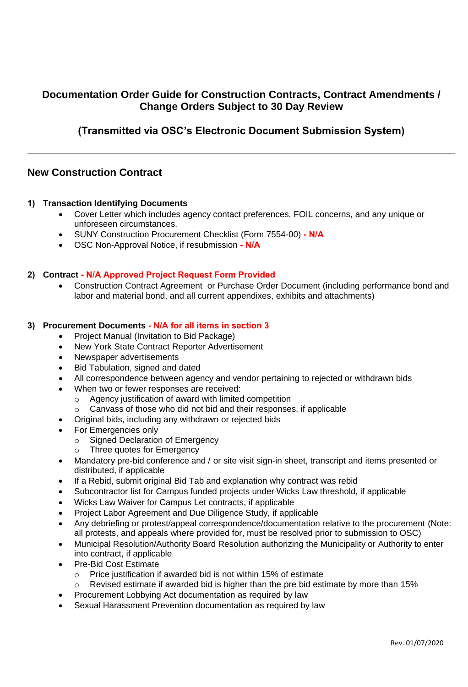# **Documentation Order Guide for Construction Contracts, Contract Amendments / Change Orders Subject to 30 Day Review**

# **(Transmitted via OSC's Electronic Document Submission System)**

## **New Construction Contract**

#### **1) Transaction Identifying Documents**

- Cover Letter which includes agency contact preferences, FOIL concerns, and any unique or unforeseen circumstances.
- SUNY Construction Procurement Checklist (Form 7554-00) **N/A**
- OSC Non-Approval Notice, if resubmission  **N/A**

### **2) Contract - N/A Approved Project Request Form Provided**

• Construction Contract Agreement or Purchase Order Document (including performance bond and labor and material bond, and all current appendixes, exhibits and attachments)

#### **3) Procurement Documents - N/A for all items in section 3**

- Project Manual (Invitation to Bid Package)
- New York State Contract Reporter Advertisement
- Newspaper advertisements
- Bid Tabulation, signed and dated
- All correspondence between agency and vendor pertaining to rejected or withdrawn bids
- When two or fewer responses are received:
	- o Agency justification of award with limited competition
	- o Canvass of those who did not bid and their responses, if applicable
- Original bids, including any withdrawn or rejected bids
- For Emergencies only
	- o Signed Declaration of Emergency
	- o Three quotes for Emergency
- Mandatory pre-bid conference and / or site visit sign-in sheet, transcript and items presented or distributed, if applicable
- If a Rebid, submit original Bid Tab and explanation why contract was rebid
- Subcontractor list for Campus funded projects under Wicks Law threshold, if applicable
- Wicks Law Waiver for Campus Let contracts, if applicable
- Project Labor Agreement and Due Diligence Study, if applicable
- Any debriefing or protest/appeal correspondence/documentation relative to the procurement (Note: all protests, and appeals where provided for, must be resolved prior to submission to OSC)
- Municipal Resolution/Authority Board Resolution authorizing the Municipality or Authority to enter into contract, if applicable
- Pre-Bid Cost Estimate
	- $\circ$  Price justification if awarded bid is not within 15% of estimate
	- Revised estimate if awarded bid is higher than the pre bid estimate by more than 15%
	- Procurement Lobbying Act documentation as required by law
- Sexual Harassment Prevention documentation as required by law